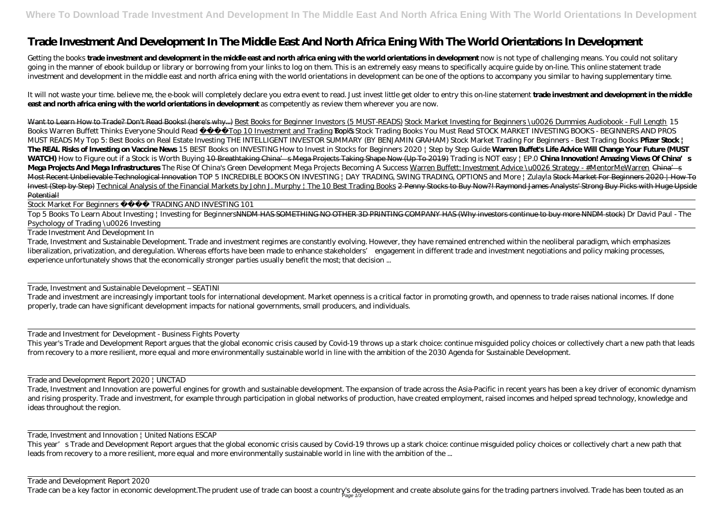# **Trade Investment And Development In The Middle East And North Africa Ening With The World Orientations In Development**

Getting the books **trade investment and development in the middle east and north africa ening with the world orientations in development now is not type of challenging means. You could not solitary** going in the manner of ebook buildup or library or borrowing from your links to log on them. This is an extremely easy means to specifically acquire guide by on-line. This online statement trade investment and development in the middle east and north africa ening with the world orientations in development can be one of the options to accompany you similar to having supplementary time.

It will not waste your time. believe me, the e-book will completely declare you extra event to read. Just invest little get older to entry this on-line statement **trade investment and development in the middle east and north africa ening with the world orientations in development** as competently as review them wherever you are now.

Top 5 Books To Learn About Investing | Investing for BeginnersNNDM HAS SOMETHING NO OTHER 3D PRINTING COMPANY HAS (Why investors continue to buy more NNDM stock) Dr David Paul - The Psychology of Trading \u0026 Investing

Want to Learn How to Trade? Don't Read Books! (here's why...) Best Books for Beginner Investors (5 MUST-READS) Stock Market Investing for Beginners \u0026 Dummies Audiobook - Full Length *15 Books Warren Buffett Thinks Everyone Should Read* Top 10 Investment and Trading Books Dock Trading Books You Must Read STOCK MARKET INVESTING BOOKS - BEGINNERS AND PROS MUST READS My Top 5: Best Books on Real Estate Investing *THE INTELLIGENT INVESTOR SUMMARY (BY BENJAMIN GRAHAM) Stock Market Trading For Beginners - Best Trading Books* **Pfizer Stock | The REAL Risks of Investing on Vaccine News** *15 BEST Books on INVESTING How to Invest in Stocks for Beginners 2020 | Step by Step Guide* **Warren Buffet's Life Advice Will Change Your Future (MUST WATCH)** *How to Figure out if a Stock is Worth Buying* 10 Breathtaking China's Mega Projects Taking Shape Now (Up To 2019) *Trading is NOT easy | EP.0* **China Innovation! Amazing Views Of China's Mega Projects And Mega Infrastructures** *The Rise Of China's Green Development Mega Projects Becoming A Success* Warren Buffett: Investment Advice \u0026 Strategy - #MentorMeWarren China's Most Recent Unbelievable Technological Innovation *TOP 5 INCREDIBLE BOOKS ON INVESTING | DAY TRADING, SWING TRADING, OPTIONS and More | Zulayla Stock Market For Beginners 2020 | How To* Invest (Step by Step) Technical Analysis of the Financial Markets by John J. Murphy | The 10 Best Trading Books 2 Penny Stocks to Buy Now?! Raymond James Analysts' Strong Buy Picks with Huge Upside Potential!

Stock Market For Beginners TRADING AND INVESTING 101

Trade Investment And Development In

Trade, Investment and Sustainable Development. Trade and investment regimes are constantly evolving. However, they have remained entrenched within the neoliberal paradigm, which emphasizes liberalization, privatization, and deregulation. Whereas efforts have been made to enhance stakeholders' engagement in different trade and investment negotiations and policy making processes, experience unfortunately shows that the economically stronger parties usually benefit the most; that decision ...

Trade, Investment and Sustainable Development – SEATINI

Trade and investment are increasingly important tools for international development. Market openness is a critical factor in promoting growth, and openness to trade raises national incomes. If done properly, trade can have significant development impacts for national governments, small producers, and individuals.

Trade and Investment for Development - Business Fights Poverty

This year's Trade and Development Report argues that the global economic crisis caused by Covid-19 throws up a stark choice: continue misguided policy choices or collectively chart a new path that leads from recovery to a more resilient, more equal and more environmentally sustainable world in line with the ambition of the 2030 Agenda for Sustainable Development.

Trade and Development Report 2020 | UNCTAD

Trade, Investment and Innovation are powerful engines for growth and sustainable development. The expansion of trade across the Asia-Pacific in recent years has been a key driver of economic dynamism and rising prosperity. Trade and investment, for example through participation in global networks of production, have created employment, raised incomes and helped spread technology, knowledge and ideas throughout the region.

Trade, Investment and Innovation | United Nations ESCAP

This year's Trade and Development Report argues that the global economic crisis caused by Covid-19 throws up a stark choice: continue misguided policy choices or collectively chart a new path that leads from recovery to a more resilient, more equal and more environmentally sustainable world in line with the ambition of the ...

Trade and Development Report 2020

Trade can be a key factor in economic development.The prudent use of trade can boost a country's development and create absolute gains for the trading partners involved. Trade has been touted as an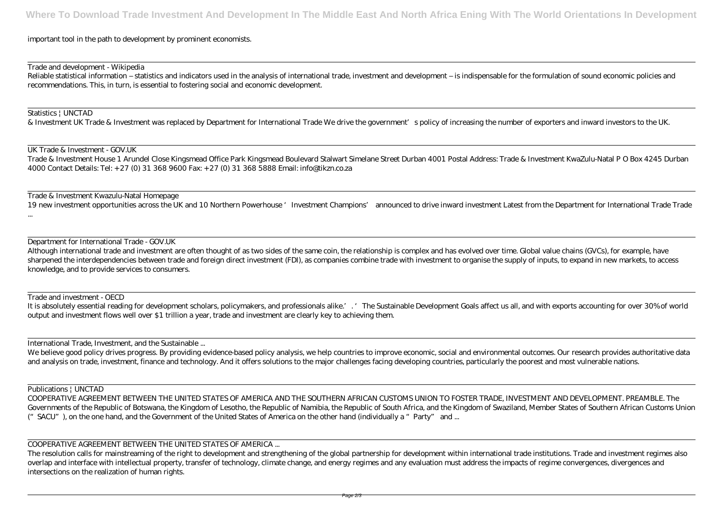# important tool in the path to development by prominent economists.

### Trade and development - Wikipedia

Reliable statistical information – statistics and indicators used in the analysis of international trade, investment and development – is indispensable for the formulation of sound economic policies and recommendations. This, in turn, is essential to fostering social and economic development.

### Statistics | UNCTAD

& Investment UK Trade & Investment was replaced by Department for International Trade We drive the government's policy of increasing the number of exporters and inward investors to the UK.

19 new investment opportunities across the UK and 10 Northern Powerhouse 'Investment Champions' announced to drive inward investment Latest from the Department for International Trade Trade ...

UK Trade & Investment - GOV.UK

Trade & Investment House 1 Arundel Close Kingsmead Office Park Kingsmead Boulevard Stalwart Simelane Street Durban 4001 Postal Address: Trade & Investment KwaZulu-Natal P O Box 4245 Durban 4000 Contact Details: Tel: + 27 (0) 31 368 9600 Fax: + 27 (0) 31 368 5888 Email: info@tikzn.co.za

Trade & Investment Kwazulu-Natal Homepage

We believe good policy drives progress. By providing evidence-based policy analysis, we help countries to improve economic, social and environmental outcomes. Our research provides authoritative data and analysis on trade, investment, finance and technology. And it offers solutions to the major challenges facing developing countries, particularly the poorest and most vulnerable nations.

Department for International Trade - GOV.UK

Although international trade and investment are often thought of as two sides of the same coin, the relationship is complex and has evolved over time. Global value chains (GVCs), for example, have sharpened the interdependencies between trade and foreign direct investment (FDI), as companies combine trade with investment to organise the supply of inputs, to expand in new markets, to access knowledge, and to provide services to consumers.

Trade and investment - OECD

It is absolutely essential reading for development scholars, policymakers, and professionals alike.'. 'The Sustainable Development Goals affect us all, and with exports accounting for over 30% of world output and investment flows well over \$1 trillion a year, trade and investment are clearly key to achieving them.

International Trade, Investment, and the Sustainable ...

Publications | UNCTAD

COOPERATIVE AGREEMENT BETWEEN THE UNITED STATES OF AMERICA AND THE SOUTHERN AFRICAN CUSTOMS UNION TO FOSTER TRADE, INVESTMENT AND DEVELOPMENT. PREAMBLE. The Governments of the Republic of Botswana, the Kingdom of Lesotho, the Republic of Namibia, the Republic of South Africa, and the Kingdom of Swaziland, Member States of Southern African Customs Union ("SACU"), on the one hand, and the Government of the United States of America on the other hand (individually a "Party" and ...

# COOPERATIVE AGREEMENT BETWEEN THE UNITED STATES OF AMERICA ...

The resolution calls for mainstreaming of the right to development and strengthening of the global partnership for development within international trade institutions. Trade and investment regimes also overlap and interface with intellectual property, transfer of technology, climate change, and energy regimes and any evaluation must address the impacts of regime convergences, divergences and intersections on the realization of human rights.